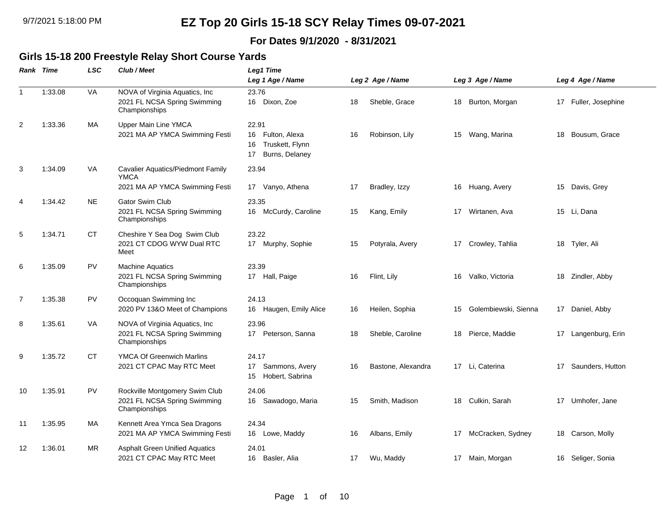### **For Dates 9/1/2020 - 8/31/2021**

### **Girls 15-18 200 Freestyle Relay Short Course Yards**

|                | Rank Time | LSC       | Club / Meet                                                                     | <b>Leg1 Time</b>                                                              |    |                    |    |                      |    |                      |
|----------------|-----------|-----------|---------------------------------------------------------------------------------|-------------------------------------------------------------------------------|----|--------------------|----|----------------------|----|----------------------|
|                |           |           |                                                                                 | Leg 1 Age / Name                                                              |    | Leg 2 Age / Name   |    | Leg 3 Age / Name     |    | Leg 4 Age / Name     |
| $\mathbf{1}$   | 1:33.08   | VA        | NOVA of Virginia Aquatics, Inc<br>2021 FL NCSA Spring Swimming<br>Championships | 23.76<br>16 Dixon, Zoe                                                        | 18 | Sheble, Grace      | 18 | Burton, Morgan       |    | 17 Fuller, Josephine |
| $\overline{2}$ | 1:33.36   | MA        | Upper Main Line YMCA<br>2021 MA AP YMCA Swimming Festi                          | 22.91<br>Fulton, Alexa<br>16<br>Truskett, Flynn<br>16<br>Burns, Delaney<br>17 | 16 | Robinson, Lily     | 15 | Wang, Marina         | 18 | Bousum, Grace        |
| 3              | 1:34.09   | VA        | Cavalier Aquatics/Piedmont Family<br><b>YMCA</b>                                | 23.94                                                                         |    |                    |    |                      |    |                      |
|                |           |           | 2021 MA AP YMCA Swimming Festi                                                  | Vanyo, Athena<br>17                                                           | 17 | Bradley, Izzy      | 16 | Huang, Avery         | 15 | Davis, Grey          |
| 4              | 1:34.42   | <b>NE</b> | <b>Gator Swim Club</b><br>2021 FL NCSA Spring Swimming<br>Championships         | 23.35<br>16 McCurdy, Caroline                                                 | 15 | Kang, Emily        | 17 | Wirtanen, Ava        |    | 15 Li, Dana          |
| 5              | 1:34.71   | CT        | Cheshire Y Sea Dog Swim Club<br>2021 CT CDOG WYW Dual RTC<br>Meet               | 23.22<br>17 Murphy, Sophie                                                    | 15 | Potyrala, Avery    |    | 17 Crowley, Tahlia   |    | 18 Tyler, Ali        |
| 6              | 1:35.09   | <b>PV</b> | <b>Machine Aquatics</b><br>2021 FL NCSA Spring Swimming<br>Championships        | 23.39<br>17 Hall, Paige                                                       | 16 | Flint, Lily        | 16 | Valko, Victoria      |    | 18 Zindler, Abby     |
| 7              | 1:35.38   | <b>PV</b> | Occoquan Swimming Inc<br>2020 PV 13&O Meet of Champions                         | 24.13<br>16 Haugen, Emily Alice                                               | 16 | Heilen, Sophia     | 15 | Golembiewski, Sienna |    | 17 Daniel, Abby      |
| 8              | 1:35.61   | VA        | NOVA of Virginia Aquatics, Inc<br>2021 FL NCSA Spring Swimming<br>Championships | 23.96<br>17<br>Peterson, Sanna                                                | 18 | Sheble, Caroline   | 18 | Pierce, Maddie       |    | 17 Langenburg, Erin  |
| 9              | 1:35.72   | <b>CT</b> | <b>YMCA Of Greenwich Marlins</b><br>2021 CT CPAC May RTC Meet                   | 24.17<br>Sammons, Avery<br>17<br>Hobert, Sabrina<br>15                        | 16 | Bastone, Alexandra | 17 | Li, Caterina         | 17 | Saunders, Hutton     |
| 10             | 1:35.91   | PV        | Rockville Montgomery Swim Club<br>2021 FL NCSA Spring Swimming<br>Championships | 24.06<br>Sawadogo, Maria<br>16                                                | 15 | Smith, Madison     | 18 | Culkin, Sarah        | 17 | Umhofer, Jane        |
| 11             | 1:35.95   | MA        | Kennett Area Ymca Sea Dragons<br>2021 MA AP YMCA Swimming Festi                 | 24.34<br>16 Lowe, Maddy                                                       | 16 | Albans, Emily      | 17 | McCracken, Sydney    |    | 18 Carson, Molly     |
| 12             | 1:36.01   | <b>MR</b> | <b>Asphalt Green Unified Aquatics</b><br>2021 CT CPAC May RTC Meet              | 24.01<br>16 Basler, Alia                                                      | 17 | Wu, Maddy          |    | 17 Main, Morgan      |    | 16 Seliger, Sonia    |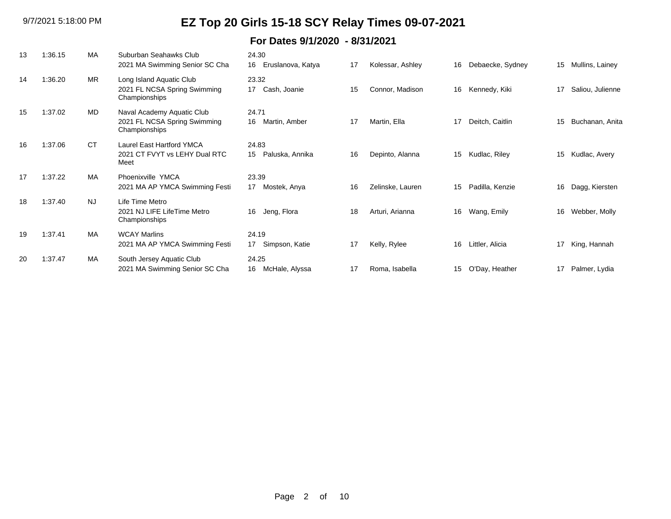| 13 | 1:36.15 | MA        | Suburban Seahawks Club<br>2021 MA Swimming Senior SC Cha                    | 24.30<br>Eruslanova, Katya<br>16 | 17 | Kolessar, Ashley | 16 | Debaecke, Sydney | 15 | Mullins, Lainey  |
|----|---------|-----------|-----------------------------------------------------------------------------|----------------------------------|----|------------------|----|------------------|----|------------------|
| 14 | 1:36.20 | <b>MR</b> | Long Island Aquatic Club<br>2021 FL NCSA Spring Swimming<br>Championships   | 23.32<br>Cash, Joanie<br>17      | 15 | Connor, Madison  | 16 | Kennedy, Kiki    | 17 | Saliou, Julienne |
| 15 | 1:37.02 | MD        | Naval Academy Aquatic Club<br>2021 FL NCSA Spring Swimming<br>Championships | 24.71<br>16<br>Martin, Amber     | 17 | Martin, Ella     | 17 | Deitch, Caitlin  | 15 | Buchanan, Anita  |
| 16 | 1:37.06 | <b>CT</b> | <b>Laurel East Hartford YMCA</b><br>2021 CT FVYT vs LEHY Dual RTC<br>Meet   | 24.83<br>Paluska, Annika<br>15   | 16 | Depinto, Alanna  | 15 | Kudlac, Riley    | 15 | Kudlac, Avery    |
| 17 | 1:37.22 | MA        | Phoenixville YMCA<br>2021 MA AP YMCA Swimming Festi                         | 23.39<br>Mostek, Anya<br>17      | 16 | Zelinske, Lauren | 15 | Padilla, Kenzie  | 16 | Dagg, Kiersten   |
| 18 | 1:37.40 | <b>NJ</b> | Life Time Metro<br>2021 NJ LIFE LifeTime Metro<br>Championships             | Jeng, Flora<br>16                | 18 | Arturi, Arianna  | 16 | Wang, Emily      | 16 | Webber, Molly    |
| 19 | 1:37.41 | <b>MA</b> | <b>WCAY Marlins</b><br>2021 MA AP YMCA Swimming Festi                       | 24.19<br>Simpson, Katie<br>17    | 17 | Kelly, Rylee     | 16 | Littler, Alicia  | 17 | King, Hannah     |
| 20 | 1:37.47 | MA        | South Jersey Aquatic Club<br>2021 MA Swimming Senior SC Cha                 | 24.25<br>McHale, Alyssa<br>16    | 17 | Roma, Isabella   | 15 | O'Day, Heather   | 17 | Palmer, Lydia    |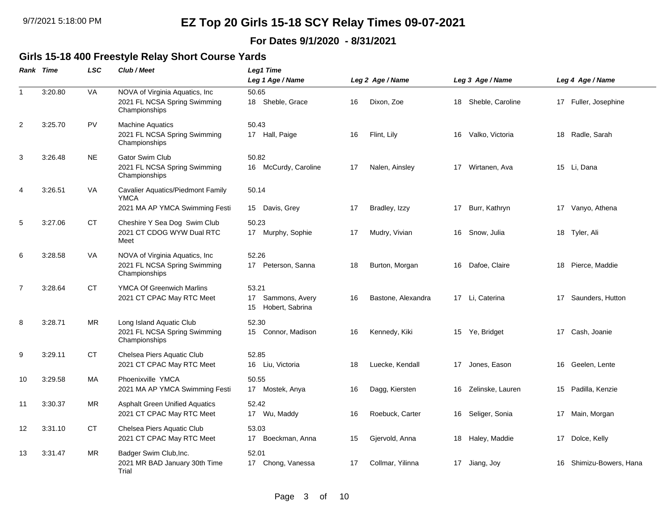### **For Dates 9/1/2020 - 8/31/2021**

### **Girls 15-18 400 Freestyle Relay Short Course Yards**

|                | <b>Rank Time</b> | LSC       | Club / Meet                                                                               | Leg1 Time                                              |    |                    |    |                  |    |                      |
|----------------|------------------|-----------|-------------------------------------------------------------------------------------------|--------------------------------------------------------|----|--------------------|----|------------------|----|----------------------|
|                |                  |           |                                                                                           | Leg 1 Age / Name                                       |    | Leg 2 Age / Name   |    | Leg 3 Age / Name |    | Leg 4 Age / Name     |
| $\mathbf{1}$   | 3:20.80          | VA        | NOVA of Virginia Aquatics, Inc<br>2021 FL NCSA Spring Swimming<br>Championships           | 50.65<br>18 Sheble, Grace                              | 16 | Dixon, Zoe         | 18 | Sheble, Caroline |    | 17 Fuller, Josephine |
| 2              | 3:25.70          | <b>PV</b> | <b>Machine Aquatics</b><br>2021 FL NCSA Spring Swimming<br>Championships                  | 50.43<br>17 Hall, Paige                                | 16 | Flint, Lily        | 16 | Valko, Victoria  | 18 | Radle, Sarah         |
| 3              | 3:26.48          | <b>NE</b> | <b>Gator Swim Club</b><br>2021 FL NCSA Spring Swimming<br>Championships                   | 50.82<br>16 McCurdy, Caroline                          | 17 | Nalen, Ainsley     | 17 | Wirtanen, Ava    |    | 15 Li, Dana          |
| 4              | 3:26.51          | VA        | <b>Cavalier Aquatics/Piedmont Family</b><br><b>YMCA</b><br>2021 MA AP YMCA Swimming Festi | 50.14<br>Davis, Grey<br>15                             | 17 | Bradley, Izzy      | 17 | Burr, Kathryn    |    | 17 Vanyo, Athena     |
| 5              | 3:27.06          | CT        | Cheshire Y Sea Dog Swim Club<br>2021 CT CDOG WYW Dual RTC<br>Meet                         | 50.23<br>17 Murphy, Sophie                             | 17 | Mudry, Vivian      | 16 | Snow, Julia      |    | 18 Tyler, Ali        |
| 6              | 3:28.58          | VA        | NOVA of Virginia Aquatics, Inc.<br>2021 FL NCSA Spring Swimming<br>Championships          | 52.26<br>17 Peterson, Sanna                            | 18 | Burton, Morgan     | 16 | Dafoe, Claire    | 18 | Pierce, Maddie       |
| $\overline{7}$ | 3:28.64          | CT        | <b>YMCA Of Greenwich Marlins</b><br>2021 CT CPAC May RTC Meet                             | 53.21<br>Sammons, Avery<br>17<br>Hobert, Sabrina<br>15 | 16 | Bastone, Alexandra |    | 17 Li, Caterina  | 17 | Saunders, Hutton     |
| 8              | 3:28.71          | MR.       | Long Island Aquatic Club<br>2021 FL NCSA Spring Swimming<br>Championships                 | 52.30<br>Connor, Madison<br>15                         | 16 | Kennedy, Kiki      | 15 | Ye, Bridget      |    | 17 Cash, Joanie      |
| 9              | 3:29.11          | СT        | Chelsea Piers Aquatic Club<br>2021 CT CPAC May RTC Meet                                   | 52.85<br>16 Liu, Victoria                              | 18 | Luecke, Kendall    | 17 | Jones, Eason     | 16 | Geelen, Lente        |
| 10             | 3:29.58          | MA        | Phoenixville YMCA<br>2021 MA AP YMCA Swimming Festi                                       | 50.55<br>17 Mostek, Anya                               | 16 | Dagg, Kiersten     | 16 | Zelinske, Lauren | 15 | Padilla, Kenzie      |
| 11             | 3:30.37          | <b>MR</b> | <b>Asphalt Green Unified Aquatics</b><br>2021 CT CPAC May RTC Meet                        | 52.42<br>17 Wu, Maddy                                  | 16 | Roebuck, Carter    | 16 | Seliger, Sonia   |    | 17 Main, Morgan      |
| 12             | 3:31.10          | СT        | Chelsea Piers Aquatic Club<br>2021 CT CPAC May RTC Meet                                   | 53.03<br>17 Boeckman, Anna                             | 15 | Gjervold, Anna     | 18 | Haley, Maddie    | 17 | Dolce, Kelly         |
| 13             | 3:31.47          | <b>MR</b> | Badger Swim Club, Inc.<br>2021 MR BAD January 30th Time<br>Trial                          | 52.01<br>17 Chong, Vanessa                             | 17 | Collmar, Yilinna   |    | 17 Jiang, Joy    | 16 | Shimizu-Bowers, Hana |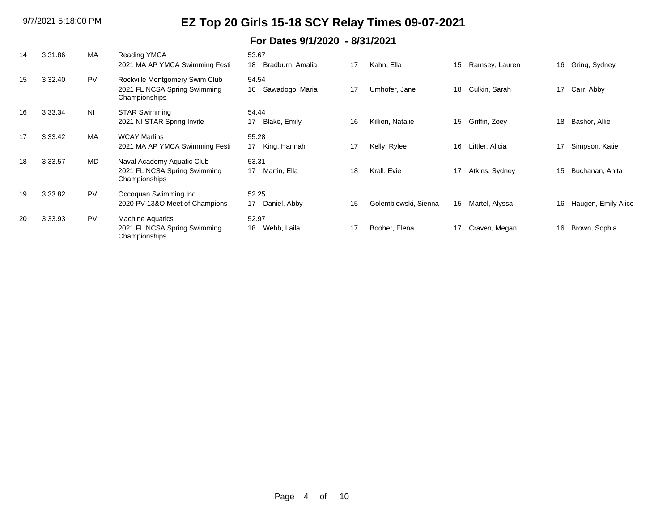| 14 | 3:31.86 | MA        | <b>Reading YMCA</b><br>2021 MA AP YMCA Swimming Festi                           | 53.67<br>18<br>Bradburn, Amalia | 17 | Kahn, Ella           | 15 | Ramsey, Lauren  | 16 | Gring, Sydney       |
|----|---------|-----------|---------------------------------------------------------------------------------|---------------------------------|----|----------------------|----|-----------------|----|---------------------|
| 15 | 3:32.40 | <b>PV</b> | Rockville Montgomery Swim Club<br>2021 FL NCSA Spring Swimming<br>Championships | 54.54<br>16<br>Sawadogo, Maria  | 17 | Umhofer, Jane        | 18 | Culkin, Sarah   | 17 | Carr, Abby          |
| 16 | 3:33.34 | <b>NI</b> | <b>STAR Swimming</b><br>2021 NI STAR Spring Invite                              | 54.44<br>17<br>Blake, Emily     | 16 | Killion, Natalie     | 15 | Griffin, Zoey   | 18 | Bashor, Allie       |
| 17 | 3:33.42 | <b>MA</b> | <b>WCAY Marlins</b><br>2021 MA AP YMCA Swimming Festi                           | 55.28<br>King, Hannah<br>17     | 17 | Kelly, Rylee         | 16 | Littler, Alicia | 17 | Simpson, Katie      |
| 18 | 3:33.57 | MD        | Naval Academy Aquatic Club<br>2021 FL NCSA Spring Swimming<br>Championships     | 53.31<br>17<br>Martin, Ella     | 18 | Krall, Evie          | 17 | Atkins, Sydney  | 15 | Buchanan, Anita     |
| 19 | 3:33.82 | <b>PV</b> | Occoquan Swimming Inc<br>2020 PV 13&O Meet of Champions                         | 52.25<br>17<br>Daniel, Abby     | 15 | Golembiewski, Sienna | 15 | Martel, Alyssa  | 16 | Haugen, Emily Alice |
| 20 | 3:33.93 | PV        | <b>Machine Aquatics</b><br>2021 FL NCSA Spring Swimming<br>Championships        | 52.97<br>18<br>Webb, Laila      | 17 | Booher, Elena        | 17 | Craven, Megan   | 16 | Brown, Sophia       |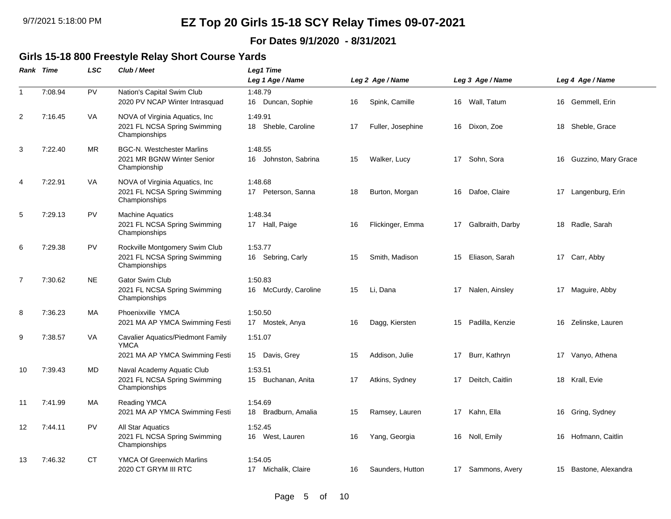### **For Dates 9/1/2020 - 8/31/2021**

#### **Girls 15-18 800 Freestyle Relay Short Course Yards**

|                | <b>Rank Time</b> | LSC       | Club / Meet                                                                               | Leg1 Time<br>Leg 1 Age / Name      |    | Leg 2 Age / Name  |    | Leg 3 Age / Name  |    | Leg 4 Age / Name      |
|----------------|------------------|-----------|-------------------------------------------------------------------------------------------|------------------------------------|----|-------------------|----|-------------------|----|-----------------------|
| $\mathbf{1}$   | 7:08.94          | PV        | Nation's Capital Swim Club<br>2020 PV NCAP Winter Intrasquad                              | 1:48.79<br>16 Duncan, Sophie       | 16 | Spink, Camille    |    | 16 Wall, Tatum    |    | 16 Gemmell, Erin      |
| 2              | 7:16.45          | VA        | NOVA of Virginia Aquatics, Inc.<br>2021 FL NCSA Spring Swimming<br>Championships          | 1:49.91<br>Sheble, Caroline<br>18  | 17 | Fuller, Josephine | 16 | Dixon, Zoe        | 18 | Sheble, Grace         |
| 3              | 7:22.40          | MR        | <b>BGC-N. Westchester Marlins</b><br>2021 MR BGNW Winter Senior<br>Championship           | 1:48.55<br>Johnston, Sabrina<br>16 | 15 | Walker, Lucy      | 17 | Sohn, Sora        | 16 | Guzzino, Mary Grace   |
| 4              | 7:22.91          | VA        | NOVA of Virginia Aquatics, Inc.<br>2021 FL NCSA Spring Swimming<br>Championships          | 1:48.68<br>17 Peterson, Sanna      | 18 | Burton, Morgan    | 16 | Dafoe, Claire     | 17 | Langenburg, Erin      |
| 5              | 7:29.13          | <b>PV</b> | <b>Machine Aquatics</b><br>2021 FL NCSA Spring Swimming<br>Championships                  | 1:48.34<br>17 Hall, Paige          | 16 | Flickinger, Emma  | 17 | Galbraith, Darby  | 18 | Radle, Sarah          |
| 6              | 7:29.38          | <b>PV</b> | Rockville Montgomery Swim Club<br>2021 FL NCSA Spring Swimming<br>Championships           | 1:53.77<br>16 Sebring, Carly       | 15 | Smith, Madison    | 15 | Eliason, Sarah    |    | 17 Carr, Abby         |
| $\overline{7}$ | 7:30.62          | <b>NE</b> | <b>Gator Swim Club</b><br>2021 FL NCSA Spring Swimming<br>Championships                   | 1:50.83<br>16 McCurdy, Caroline    | 15 | Li, Dana          | 17 | Nalen, Ainsley    |    | 17 Maguire, Abby      |
| 8              | 7:36.23          | MA        | Phoenixville YMCA<br>2021 MA AP YMCA Swimming Festi                                       | 1:50.50<br>17 Mostek, Anya         | 16 | Dagg, Kiersten    | 15 | Padilla, Kenzie   | 16 | Zelinske, Lauren      |
| 9              | 7:38.57          | VA        | <b>Cavalier Aquatics/Piedmont Family</b><br><b>YMCA</b><br>2021 MA AP YMCA Swimming Festi | 1:51.07<br>15 Davis, Grey          | 15 | Addison, Julie    | 17 | Burr, Kathryn     |    | 17 Vanyo, Athena      |
| 10             | 7:39.43          | <b>MD</b> | Naval Academy Aquatic Club<br>2021 FL NCSA Spring Swimming<br>Championships               | 1:53.51<br>Buchanan, Anita<br>15   | 17 | Atkins, Sydney    | 17 | Deitch, Caitlin   | 18 | Krall, Evie           |
| 11             | 7:41.99          | MA        | <b>Reading YMCA</b><br>2021 MA AP YMCA Swimming Festi                                     | 1:54.69<br>Bradburn, Amalia<br>18  | 15 | Ramsey, Lauren    | 17 | Kahn, Ella        | 16 | Gring, Sydney         |
| 12             | 7:44.11          | <b>PV</b> | All Star Aquatics<br>2021 FL NCSA Spring Swimming<br>Championships                        | 1:52.45<br>16 West, Lauren         | 16 | Yang, Georgia     | 16 | Noll, Emily       | 16 | Hofmann, Caitlin      |
| 13             | 7:46.32          | СT        | <b>YMCA Of Greenwich Marlins</b><br>2020 CT GRYM III RTC                                  | 1:54.05<br>17 Michalik, Claire     | 16 | Saunders, Hutton  |    | 17 Sammons, Avery |    | 15 Bastone, Alexandra |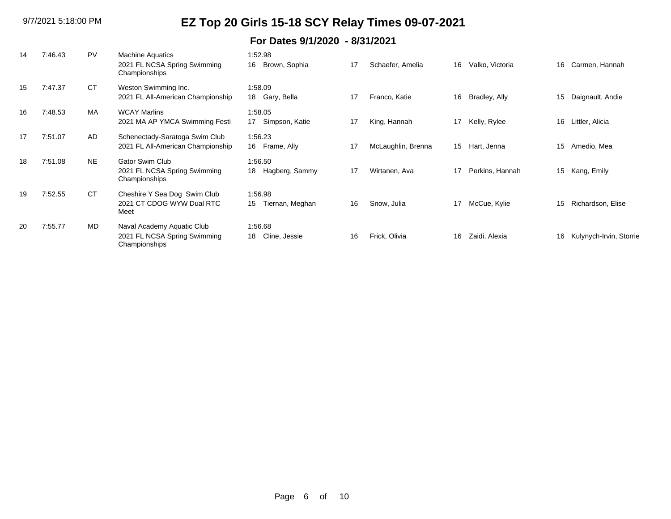| 14  | 7:46.43 | <b>PV</b> | <b>Machine Aquatics</b><br>2021 FL NCSA Spring Swimming<br>Championships    | 1:52.98<br>16<br>Brown, Sophia   | 17 | Schaefer, Amelia   | 16 | Valko, Victoria | 16 | Carmen, Hannah          |
|-----|---------|-----------|-----------------------------------------------------------------------------|----------------------------------|----|--------------------|----|-----------------|----|-------------------------|
| 15  | 7:47.37 | <b>CT</b> | Weston Swimming Inc.<br>2021 FL All-American Championship                   | 1:58.09<br>18 Gary, Bella        | 17 | Franco, Katie      | 16 | Bradley, Ally   | 15 | Daignault, Andie        |
| 16  | 7:48.53 | MA        | <b>WCAY Marlins</b><br>2021 MA AP YMCA Swimming Festi                       | 1:58.05<br>Simpson, Katie<br>17  | 17 | King, Hannah       | 17 | Kelly, Rylee    | 16 | Littler, Alicia         |
| 17  | 7:51.07 | AD.       | Schenectady-Saratoga Swim Club<br>2021 FL All-American Championship         | 1:56.23<br>16 Frame, Ally        | 17 | McLaughlin, Brenna | 15 | Hart, Jenna     | 15 | Amedio, Mea             |
| 18  | 7:51.08 | <b>NE</b> | <b>Gator Swim Club</b><br>2021 FL NCSA Spring Swimming<br>Championships     | 1:56.50<br>18<br>Hagberg, Sammy  | 17 | Wirtanen, Ava      | 17 | Perkins, Hannah | 15 | Kang, Emily             |
| 19  | 7:52.55 | <b>CT</b> | Cheshire Y Sea Dog Swim Club<br>2021 CT CDOG WYW Dual RTC<br>Meet           | 1:56.98<br>Tiernan, Meghan<br>15 | 16 | Snow, Julia        | 17 | McCue, Kylie    | 15 | Richardson, Elise       |
| -20 | 7:55.77 | MD        | Naval Academy Aquatic Club<br>2021 FL NCSA Spring Swimming<br>Championships | 1:56.68<br>18<br>Cline, Jessie   | 16 | Frick, Olivia      | 16 | Zaidi, Alexia   | 16 | Kulynych-Irvin, Storrie |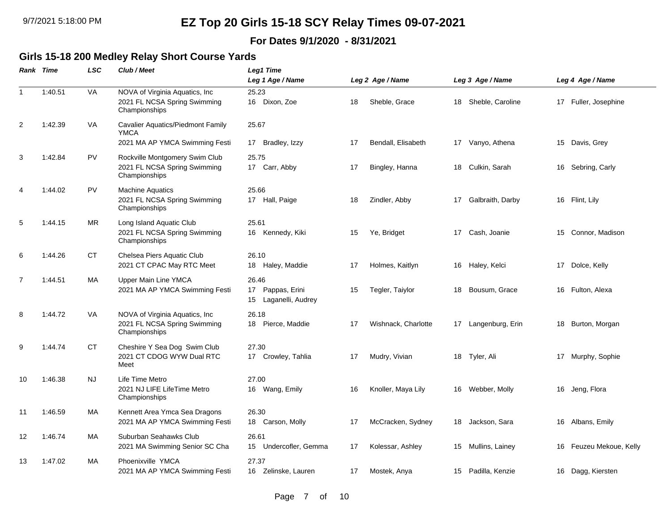### **For Dates 9/1/2020 - 8/31/2021**

### **Girls 15-18 200 Medley Relay Short Course Yards**

|                | Rank Time | LSC       | Club / Meet                                                                     | Leg1 Time                                               |     |                     |    |                     |    |                      |
|----------------|-----------|-----------|---------------------------------------------------------------------------------|---------------------------------------------------------|-----|---------------------|----|---------------------|----|----------------------|
|                |           |           |                                                                                 | Leg 1 Age / Name                                        |     | Leg 2 Age / Name    |    | Leg 3 Age / Name    |    | Leg 4 Age / Name     |
| $\mathbf{1}$   | 1:40.51   | VA        | NOVA of Virginia Aquatics, Inc<br>2021 FL NCSA Spring Swimming<br>Championships | 25.23<br>16 Dixon, Zoe                                  | 18  | Sheble, Grace       | 18 | Sheble, Caroline    |    | 17 Fuller, Josephine |
| 2              | 1:42.39   | <b>VA</b> | Cavalier Aquatics/Piedmont Family<br><b>YMCA</b>                                | 25.67                                                   |     |                     |    |                     |    |                      |
|                |           |           | 2021 MA AP YMCA Swimming Festi                                                  | 17 Bradley, Izzy                                        | 17  | Bendall, Elisabeth  |    | 17 Vanyo, Athena    |    | 15 Davis, Grey       |
| 3              | 1:42.84   | <b>PV</b> | Rockville Montgomery Swim Club<br>2021 FL NCSA Spring Swimming<br>Championships | 25.75<br>17 Carr, Abby                                  | 17  | Bingley, Hanna      | 18 | Culkin, Sarah       | 16 | Sebring, Carly       |
| $\overline{4}$ | 1:44.02   | <b>PV</b> | <b>Machine Aquatics</b><br>2021 FL NCSA Spring Swimming<br>Championships        | 25.66<br>17 Hall, Paige                                 | 18  | Zindler, Abby       | 17 | Galbraith, Darby    |    | 16 Flint, Lily       |
| 5              | 1:44.15   | <b>MR</b> | Long Island Aquatic Club<br>2021 FL NCSA Spring Swimming<br>Championships       | 25.61<br>16 Kennedy, Kiki                               | 15  | Ye, Bridget         | 17 | Cash, Joanie        | 15 | Connor, Madison      |
| 6              | 1:44.26   | СT        | Chelsea Piers Aquatic Club<br>2021 CT CPAC May RTC Meet                         | 26.10<br>18 Haley, Maddie                               | 17  | Holmes, Kaitlyn     | 16 | Haley, Kelci        | 17 | Dolce, Kelly         |
| $\overline{7}$ | 1:44.51   | MA        | Upper Main Line YMCA<br>2021 MA AP YMCA Swimming Festi                          | 26.46<br>17<br>Pappas, Erini<br>Laganelli, Audrey<br>15 | 15  | Tegler, Taiylor     | 18 | Bousum, Grace       | 16 | Fulton, Alexa        |
| 8              | 1:44.72   | VA        | NOVA of Virginia Aquatics, Inc<br>2021 FL NCSA Spring Swimming<br>Championships | 26.18<br>18 Pierce, Maddie                              | 17  | Wishnack, Charlotte |    | 17 Langenburg, Erin | 18 | Burton, Morgan       |
| 9              | 1:44.74   | <b>CT</b> | Cheshire Y Sea Dog Swim Club<br>2021 CT CDOG WYW Dual RTC<br>Meet               | 27.30<br>17 Crowley, Tahlia                             | 17  | Mudry, Vivian       | 18 | Tyler, Ali          |    | 17 Murphy, Sophie    |
| 10             | 1:46.38   | <b>NJ</b> | Life Time Metro<br>2021 NJ LIFE LifeTime Metro<br>Championships                 | 27.00<br>16 Wang, Emily                                 | 16  | Knoller, Maya Lily  |    | 16 Webber, Molly    |    | 16 Jeng, Flora       |
| 11             | 1:46.59   | MA        | Kennett Area Ymca Sea Dragons<br>2021 MA AP YMCA Swimming Festi                 | 26.30<br>18 Carson, Molly                               | 17  | McCracken, Sydney   |    | 18 Jackson, Sara    |    | 16 Albans, Emily     |
| 12             | 1:46.74   | MA        | Suburban Seahawks Club<br>2021 MA Swimming Senior SC Cha                        | 26.61<br>Undercofler, Gemma<br>15                       | -17 | Kolessar, Ashley    | 15 | Mullins, Lainey     | 16 | Feuzeu Mekoue, Kelly |
| 13             | 1:47.02   | MA        | Phoenixville YMCA<br>2021 MA AP YMCA Swimming Festi                             | 27.37<br>16 Zelinske, Lauren                            | 17  | Mostek, Anya        | 15 | Padilla, Kenzie     |    | 16 Dagg, Kiersten    |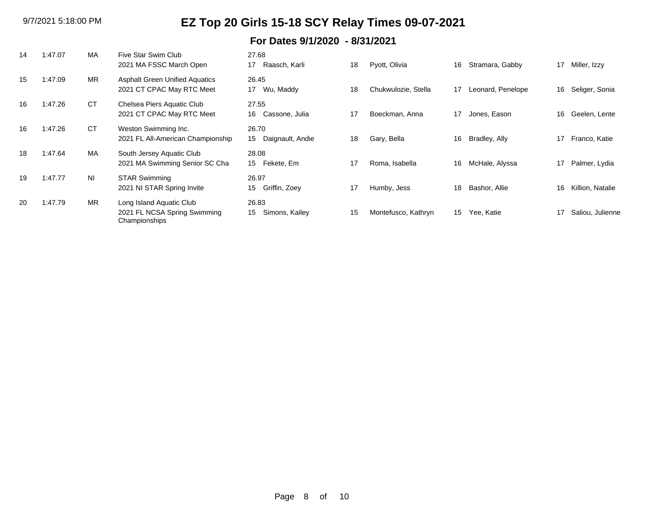| 14 | 1:47.07 | MA             | Five Star Swim Club<br>2021 MA FSSC March Open                            | 27.68<br>Raasch, Karli<br>17    | 18 | Pyott, Olivia       | 16               | Stramara, Gabby   | 17 | Miller, Izzy     |
|----|---------|----------------|---------------------------------------------------------------------------|---------------------------------|----|---------------------|------------------|-------------------|----|------------------|
| 15 | 1:47.09 | <b>MR</b>      | <b>Asphalt Green Unified Aquatics</b><br>2021 CT CPAC May RTC Meet        | 26.45<br>Wu, Maddy<br>17        | 18 | Chukwulozie, Stella | 17               | Leonard, Penelope | 16 | Seliger, Sonia   |
| 16 | 1:47.26 | <b>CT</b>      | Chelsea Piers Aquatic Club<br>2021 CT CPAC May RTC Meet                   | 27.55<br>Cassone, Julia<br>16   | 17 | Boeckman, Anna      | 17               | Jones, Eason      | 16 | Geelen, Lente    |
| 16 | 1:47.26 | <b>CT</b>      | Weston Swimming Inc.<br>2021 FL All-American Championship                 | 26.70<br>Daignault, Andie<br>15 | 18 | Gary, Bella         | 16               | Bradley, Ally     | 17 | Franco, Katie    |
| 18 | 1:47.64 | MA             | South Jersey Aquatic Club<br>2021 MA Swimming Senior SC Cha               | 28.08<br>Fekete, Em<br>15       | 17 | Roma, Isabella      | 16               | McHale, Alyssa    | 17 | Palmer, Lydia    |
| 19 | 1:47.77 | N <sub>1</sub> | <b>STAR Swimming</b><br>2021 NI STAR Spring Invite                        | 26.97<br>Griffin, Zoey<br>15    | 17 | Humby, Jess         | 18               | Bashor, Allie     | 16 | Killion, Natalie |
| 20 | 1:47.79 | <b>MR</b>      | Long Island Aquatic Club<br>2021 FL NCSA Spring Swimming<br>Championships | 26.83<br>Simons, Kailey<br>15   | 15 | Montefusco, Kathryn | 15 <sup>15</sup> | Yee, Katie        | 17 | Saliou, Julienne |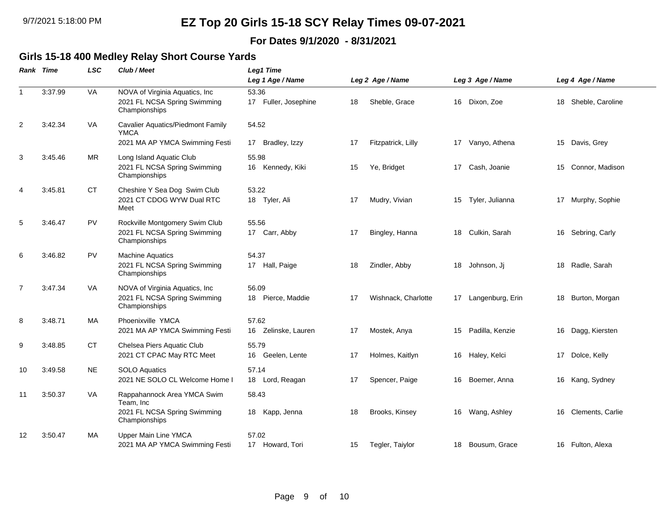### **For Dates 9/1/2020 - 8/31/2021**

#### **Girls 15-18 400 Medley Relay Short Course Yards**

|                | Rank Time | <b>LSC</b> | Club / Meet                                                                      | Leg1 Time                     |    |                     |    |                  |    |                    |
|----------------|-----------|------------|----------------------------------------------------------------------------------|-------------------------------|----|---------------------|----|------------------|----|--------------------|
|                |           |            |                                                                                  | Leg 1 Age / Name              |    | Leg 2 Age / Name    |    | Leg 3 Age / Name |    | Leg 4 Age / Name   |
| $\mathbf{1}$   | 3:37.99   | VA         | NOVA of Virginia Aquatics, Inc<br>2021 FL NCSA Spring Swimming<br>Championships  | 53.36<br>17 Fuller, Josephine | 18 | Sheble, Grace       | 16 | Dixon, Zoe       | 18 | Sheble, Caroline   |
| $\overline{2}$ | 3:42.34   | VA         | Cavalier Aquatics/Piedmont Family<br><b>YMCA</b>                                 | 54.52                         |    |                     |    |                  |    |                    |
|                |           |            | 2021 MA AP YMCA Swimming Festi                                                   | Bradley, Izzy<br>17           | 17 | Fitzpatrick, Lilly  | 17 | Vanyo, Athena    | 15 | Davis, Grey        |
| 3              | 3:45.46   | <b>MR</b>  | Long Island Aquatic Club<br>2021 FL NCSA Spring Swimming<br>Championships        | 55.98<br>16 Kennedy, Kiki     | 15 | Ye, Bridget         |    | 17 Cash, Joanie  |    | 15 Connor, Madison |
| 4              | 3:45.81   | CT         | Cheshire Y Sea Dog Swim Club<br>2021 CT CDOG WYW Dual RTC<br>Meet                | 53.22<br>18 Tyler, Ali        | 17 | Mudry, Vivian       | 15 | Tyler, Julianna  |    | 17 Murphy, Sophie  |
| 5              | 3:46.47   | <b>PV</b>  | Rockville Montgomery Swim Club<br>2021 FL NCSA Spring Swimming<br>Championships  | 55.56<br>17 Carr, Abby        | 17 | Bingley, Hanna      | 18 | Culkin, Sarah    | 16 | Sebring, Carly     |
| 6              | 3:46.82   | <b>PV</b>  | <b>Machine Aquatics</b><br>2021 FL NCSA Spring Swimming<br>Championships         | 54.37<br>17 Hall, Paige       | 18 | Zindler, Abby       | 18 | Johnson, Jj      | 18 | Radle, Sarah       |
| $\overline{7}$ | 3:47.34   | VA         | NOVA of Virginia Aquatics, Inc.<br>2021 FL NCSA Spring Swimming<br>Championships | 56.09<br>18 Pierce, Maddie    | 17 | Wishnack, Charlotte | 17 | Langenburg, Erin | 18 | Burton, Morgan     |
| 8              | 3:48.71   | MA         | Phoenixville YMCA<br>2021 MA AP YMCA Swimming Festi                              | 57.62<br>16 Zelinske, Lauren  | 17 | Mostek, Anya        | 15 | Padilla, Kenzie  |    | 16 Dagg, Kiersten  |
| 9              | 3:48.85   | <b>CT</b>  | Chelsea Piers Aquatic Club<br>2021 CT CPAC May RTC Meet                          | 55.79<br>16<br>Geelen, Lente  | 17 | Holmes, Kaitlyn     | 16 | Haley, Kelci     | 17 | Dolce, Kelly       |
| 10             | 3:49.58   | <b>NE</b>  | <b>SOLO Aquatics</b><br>2021 NE SOLO CL Welcome Home I                           | 57.14<br>18 Lord, Reagan      | 17 | Spencer, Paige      | 16 | Boemer, Anna     | 16 | Kang, Sydney       |
| 11             | 3:50.37   | VA         | Rappahannock Area YMCA Swim<br>Team, Inc                                         | 58.43                         |    |                     |    |                  |    |                    |
|                |           |            | 2021 FL NCSA Spring Swimming<br>Championships                                    | 18 Kapp, Jenna                | 18 | Brooks, Kinsey      | 16 | Wang, Ashley     | 16 | Clements, Carlie   |
| 12             | 3:50.47   | MA         | Upper Main Line YMCA                                                             | 57.02                         |    |                     |    |                  |    |                    |
|                |           |            | 2021 MA AP YMCA Swimming Festi                                                   | 17 Howard, Tori               | 15 | Tegler, Taiylor     | 18 | Bousum, Grace    |    | 16 Fulton, Alexa   |